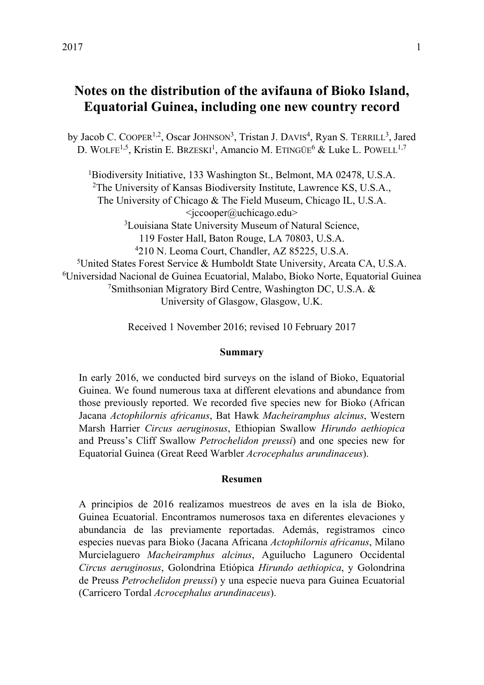# **Notes on the distribution of the avifauna of Bioko Island, Equatorial Guinea, including one new country record**

by Jacob C. COOPER<sup>1,2</sup>, Oscar JOHNSON<sup>3</sup>, Tristan J. DAVIS<sup>4</sup>, Ryan S. TERRILL<sup>3</sup>, Jared D. WOLFE<sup>1,5</sup>, Kristin E. BRZESKI<sup>1</sup>, Amancio M. ETINGÜE<sup>6</sup> & Luke L. POWELL<sup>1,7</sup>

<sup>1</sup>Biodiversity Initiative, 133 Washington St., Belmont, MA 02478, U.S.A. <sup>2</sup>The University of Kansas Biodiversity Institute, Lawrence KS, U.S.A., The University of Chicago & The Field Museum, Chicago IL, U.S.A.  $\leq$ jccooper@uchicago.edu><br><sup>3</sup>Louisiana State University Museum of Natural Science. 119 Foster Hall, Baton Rouge, LA 70803, U.S.A.<br><sup>4</sup>210 N. Leoma Court, Chandler, AZ 85225, U.S.A.<br><sup>5</sup> United States Forest Service & Humboldt State University, Arcata CA, U.S.A.<br><sup>6</sup> Universidad Nacional de Guinea Ecuatorial University of Glasgow, Glasgow, U.K.

Received 1 November 2016; revised 10 February 2017

## **Summary**

In early 2016, we conducted bird surveys on the island of Bioko, Equatorial Guinea. We found numerous taxa at different elevations and abundance from those previously reported. We recorded five species new for Bioko (African Jacana *Actophilornis africanus*, Bat Hawk *Macheiramphus alcinus*, Western Marsh Harrier *Circus aeruginosus*, Ethiopian Swallow *Hirundo aethiopica* and Preuss's Cliff Swallow *Petrochelidon preussi*) and one species new for Equatorial Guinea (Great Reed Warbler *Acrocephalus arundinaceus*).

## **Resumen**

A principios de 2016 realizamos muestreos de aves en la isla de Bioko, Guinea Ecuatorial. Encontramos numerosos taxa en diferentes elevaciones y abundancia de las previamente reportadas. Además, registramos cinco especies nuevas para Bioko (Jacana Africana *Actophilornis africanus*, Milano Murcielaguero *Macheiramphus alcinus*, Aguilucho Lagunero Occidental *Circus aeruginosus*, Golondrina Etiópica *Hirundo aethiopica*, y Golondrina de Preuss *Petrochelidon preussi*) y una especie nueva para Guinea Ecuatorial (Carricero Tordal *Acrocephalus arundinaceus*).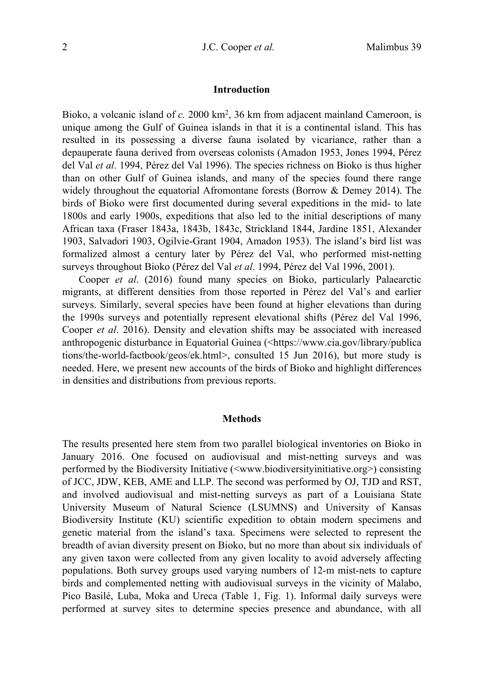#### **Introduction**

Bioko, a volcanic island of *c.* 2000 km2, 36 km from adjacent mainland Cameroon, is unique among the Gulf of Guinea islands in that it is a continental island. This has resulted in its possessing a diverse fauna isolated by vicariance, rather than a depauperate fauna derived from overseas colonists (Amadon 1953, Jones 1994, Pérez del Val *et al*. 1994, Pérez del Val 1996). The species richness on Bioko is thus higher than on other Gulf of Guinea islands, and many of the species found there range widely throughout the equatorial Afromontane forests (Borrow & Demey 2014). The birds of Bioko were first documented during several expeditions in the mid- to late 1800s and early 1900s, expeditions that also led to the initial descriptions of many African taxa (Fraser 1843a, 1843b, 1843c, Strickland 1844, Jardine 1851, Alexander 1903, Salvadori 1903, Ogilvie-Grant 1904, Amadon 1953). The island's bird list was formalized almost a century later by Pérez del Val, who performed mist-netting surveys throughout Bioko (Pérez del Val *et al*. 1994, Pérez del Val 1996, 2001).

 Cooper *et al*. (2016) found many species on Bioko, particularly Palaearctic migrants, at different densities from those reported in Pérez del Val's and earlier surveys. Similarly, several species have been found at higher elevations than during the 1990s surveys and potentially represent elevational shifts (Pérez del Val 1996, Cooper *et al*. 2016). Density and elevation shifts may be associated with increased anthropogenic disturbance in Equatorial Guinea (<https://www.cia.gov/library/publica tions/the-world-factbook/geos/ek.html>, consulted 15 Jun 2016), but more study is needed. Here, we present new accounts of the birds of Bioko and highlight differences in densities and distributions from previous reports.

#### **Methods**

The results presented here stem from two parallel biological inventories on Bioko in January 2016. One focused on audiovisual and mist-netting surveys and was performed by the Biodiversity Initiative (<www.biodiversityinitiative.org>) consisting of JCC, JDW, KEB, AME and LLP. The second was performed by OJ, TJD and RST, and involved audiovisual and mist-netting surveys as part of a Louisiana State University Museum of Natural Science (LSUMNS) and University of Kansas Biodiversity Institute (KU) scientific expedition to obtain modern specimens and genetic material from the island's taxa. Specimens were selected to represent the breadth of avian diversity present on Bioko, but no more than about six individuals of any given taxon were collected from any given locality to avoid adversely affecting populations. Both survey groups used varying numbers of 12-m mist-nets to capture birds and complemented netting with audiovisual surveys in the vicinity of Malabo, Pico Basilé, Luba, Moka and Ureca (Table 1, Fig. 1). Informal daily surveys were performed at survey sites to determine species presence and abundance, with all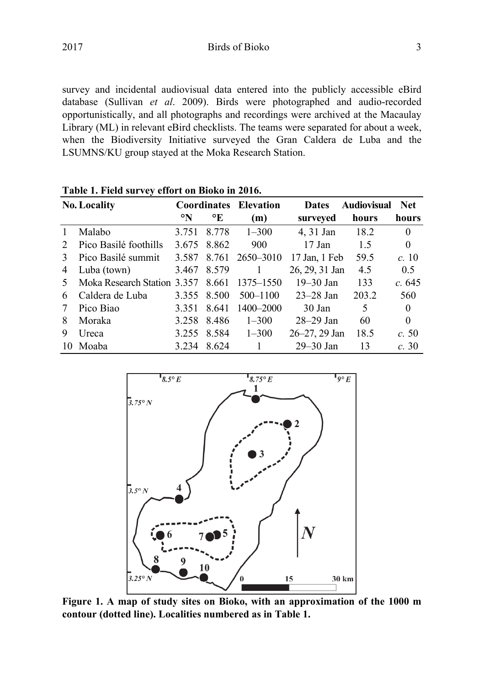2017 Birds of Bioko 3

survey and incidental audiovisual data entered into the publicly accessible eBird database (Sullivan *et al*. 2009). Birds were photographed and audio-recorded opportunistically, and all photographs and recordings were archived at the Macaulay Library (ML) in relevant eBird checklists. The teams were separated for about a week, when the Biodiversity Initiative surveyed the Gran Caldera de Luba and the LSUMNS/KU group stayed at the Moka Research Station.

|               | <b>No. Locality</b>               |       | <b>Coordinates</b> | Elevation | <b>Dates</b>       | Audiovisual | Net.     |
|---------------|-----------------------------------|-------|--------------------|-----------|--------------------|-------------|----------|
|               |                                   | °N    | °E                 | (m)       | surveyed           | hours       | hours    |
|               | Malabo                            | 3.751 | 8.778              | $1 - 300$ | 4, 31 Jan          | 18.2        | $\theta$ |
| $2^{1}$       | Pico Basilé foothills             | 3.675 | 8.862              | 900       | 17 Jan             | 1.5         | $\Omega$ |
| $\mathcal{E}$ | Pico Basilé summit                | 3.587 | 8.761              | 2650-3010 | 17 Jan, 1 Feb      | 59.5        | c.10     |
| 4             | Luba (town)                       |       | 3.467 8.579        |           | 26, 29, 31 Jan     | 4.5         | 0.5      |
| 5             | Moka Research Station 3.357 8.661 |       |                    | 1375–1550 | $19 - 30$ Jan      | 133         | c.645    |
| 6             | Caldera de Luba                   |       | 3.355 8.500        | 500-1100  | $23 - 28$ Jan      | 203.2       | 560      |
| 7             | Pico Biao                         | 3.351 | 8.641              | 1400-2000 | 30 Jan             | 5           | $\Omega$ |
| 8             | Moraka                            | 3.258 | 8.486              | $1 - 300$ | $28-29$ Jan        | 60          | $\Omega$ |
| 9             | Ureca                             | 3.255 | 8.584              | $1 - 300$ | $26 - 27$ , 29 Jan | 18.5        | c.50     |
| 10            | Moaba                             | 3.234 | 8.624              |           | $29 - 30$ Jan      | 13          | c.30     |

**Table 1. Field survey effort on Bioko in 2016.** 



**Figure 1. A map of study sites on Bioko, with an approximation of the 1000 m contour (dotted line). Localities numbered as in Table 1.**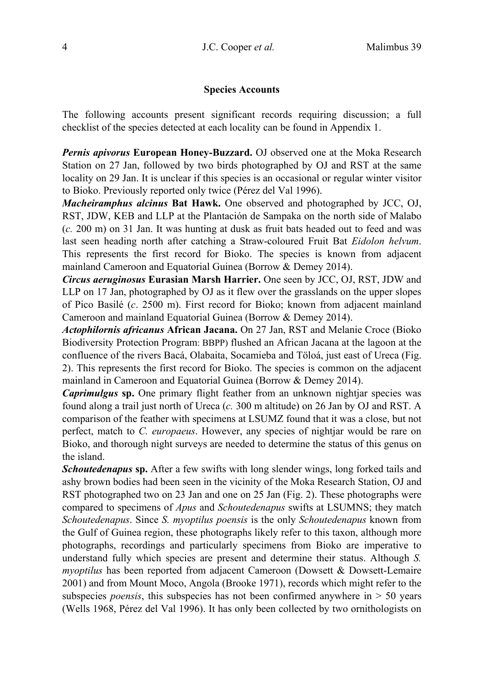## **Species Accounts**

The following accounts present significant records requiring discussion; a full checklist of the species detected at each locality can be found in Appendix 1.

*Pernis apivorus* **European Honey-Buzzard.** OJ observed one at the Moka Research Station on 27 Jan, followed by two birds photographed by OJ and RST at the same locality on 29 Jan. It is unclear if this species is an occasional or regular winter visitor to Bioko. Previously reported only twice (Pérez del Val 1996).

*Macheiramphus alcinus* **Bat Hawk.** One observed and photographed by JCC, OJ, RST, JDW, KEB and LLP at the Plantación de Sampaka on the north side of Malabo (*c.* 200 m) on 31 Jan. It was hunting at dusk as fruit bats headed out to feed and was last seen heading north after catching a Straw-coloured Fruit Bat *Eidolon helvum*. This represents the first record for Bioko. The species is known from adjacent mainland Cameroon and Equatorial Guinea (Borrow & Demey 2014).

*Circus aeruginosus* **Eurasian Marsh Harrier.** One seen by JCC, OJ, RST, JDW and LLP on 17 Jan, photographed by OJ as it flew over the grasslands on the upper slopes of Pico Basilé (*c*. 2500 m). First record for Bioko; known from adjacent mainland Cameroon and mainland Equatorial Guinea (Borrow & Demey 2014).

*Actophilornis africanus* **African Jacana.** On 27 Jan, RST and Melanie Croce (Bioko Biodiversity Protection Program: BBPP) flushed an African Jacana at the lagoon at the confluence of the rivers Bacá, Olabaita, Socamieba and Töloá, just east of Ureca (Fig. 2). This represents the first record for Bioko. The species is common on the adjacent mainland in Cameroon and Equatorial Guinea (Borrow & Demey 2014).

*Caprimulgus* **sp.** One primary flight feather from an unknown nightjar species was found along a trail just north of Ureca (*c.* 300 m altitude) on 26 Jan by OJ and RST. A comparison of the feather with specimens at LSUMZ found that it was a close, but not perfect, match to *C. europaeus*. However, any species of nightjar would be rare on Bioko, and thorough night surveys are needed to determine the status of this genus on the island.

*Schoutedenapus* **sp.** After a few swifts with long slender wings, long forked tails and ashy brown bodies had been seen in the vicinity of the Moka Research Station, OJ and RST photographed two on 23 Jan and one on 25 Jan (Fig. 2). These photographs were compared to specimens of *Apus* and *Schoutedenapus* swifts at LSUMNS; they match *Schoutedenapus*. Since *S. myoptilus poensis* is the only *Schoutedenapus* known from the Gulf of Guinea region, these photographs likely refer to this taxon, although more photographs, recordings and particularly specimens from Bioko are imperative to understand fully which species are present and determine their status. Although *S. myoptilus* has been reported from adjacent Cameroon (Dowsett & Dowsett-Lemaire 2001) and from Mount Moco, Angola (Brooke 1971), records which might refer to the subspecies *poensis*, this subspecies has not been confirmed anywhere in  $> 50$  years (Wells 1968, Pérez del Val 1996). It has only been collected by two ornithologists on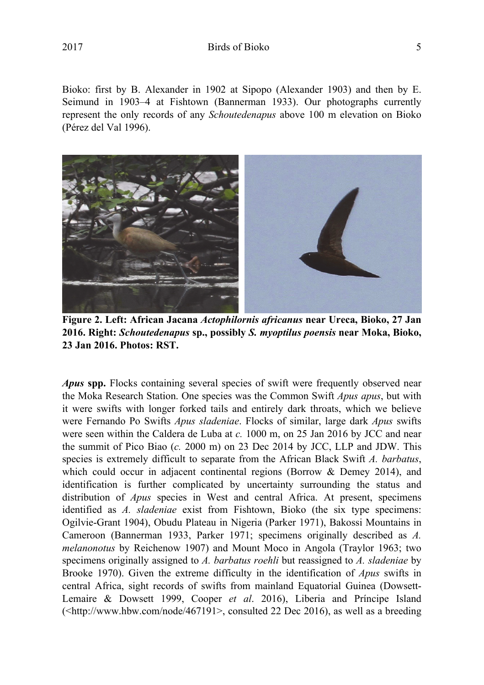Bioko: first by B. Alexander in 1902 at Sipopo (Alexander 1903) and then by E. Seimund in 1903–4 at Fishtown (Bannerman 1933). Our photographs currently represent the only records of any *Schoutedenapus* above 100 m elevation on Bioko (Pérez del Val 1996).



**Figure 2. Left: African Jacana** *Actophilornis africanus* **near Ureca, Bioko, 27 Jan 2016. Right:** *Schoutedenapus* **sp., possibly** *S. myoptilus poensis* **near Moka, Bioko, 23 Jan 2016. Photos: RST.** 

*Apus* **spp.** Flocks containing several species of swift were frequently observed near the Moka Research Station. One species was the Common Swift *Apus apus*, but with it were swifts with longer forked tails and entirely dark throats, which we believe were Fernando Po Swifts *Apus sladeniae*. Flocks of similar, large dark *Apus* swifts were seen within the Caldera de Luba at *c.* 1000 m, on 25 Jan 2016 by JCC and near the summit of Pico Biao (*c.* 2000 m) on 23 Dec 2014 by JCC, LLP and JDW. This species is extremely difficult to separate from the African Black Swift *A. barbatus*, which could occur in adjacent continental regions (Borrow & Demey 2014), and identification is further complicated by uncertainty surrounding the status and distribution of *Apus* species in West and central Africa. At present, specimens identified as *A. sladeniae* exist from Fishtown, Bioko (the six type specimens: Ogilvie-Grant 1904), Obudu Plateau in Nigeria (Parker 1971), Bakossi Mountains in Cameroon (Bannerman 1933, Parker 1971; specimens originally described as *A. melanonotus* by Reichenow 1907) and Mount Moco in Angola (Traylor 1963; two specimens originally assigned to *A. barbatus roehli* but reassigned to *A. sladeniae* by Brooke 1970). Given the extreme difficulty in the identification of *Apus* swifts in central Africa, sight records of swifts from mainland Equatorial Guinea (Dowsett-Lemaire & Dowsett 1999, Cooper *et al*. 2016), Liberia and Príncipe Island (<http://www.hbw.com/node/467191>, consulted 22 Dec 2016), as well as a breeding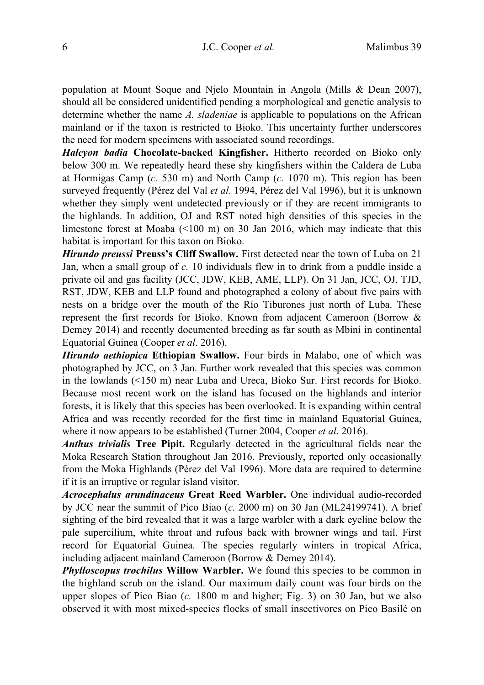population at Mount Soque and Njelo Mountain in Angola (Mills & Dean 2007), should all be considered unidentified pending a morphological and genetic analysis to determine whether the name *A. sladeniae* is applicable to populations on the African mainland or if the taxon is restricted to Bioko. This uncertainty further underscores the need for modern specimens with associated sound recordings.

*Halcyon badia* **Chocolate-backed Kingfisher.** Hitherto recorded on Bioko only below 300 m. We repeatedly heard these shy kingfishers within the Caldera de Luba at Hormigas Camp (*c.* 530 m) and North Camp (*c.* 1070 m). This region has been surveyed frequently (Pérez del Val *et al*. 1994, Pérez del Val 1996), but it is unknown whether they simply went undetected previously or if they are recent immigrants to the highlands. In addition, OJ and RST noted high densities of this species in the limestone forest at Moaba (<100 m) on 30 Jan 2016, which may indicate that this habitat is important for this taxon on Bioko.

*Hirundo preussi* **Preuss's Cliff Swallow.** First detected near the town of Luba on 21 Jan, when a small group of *c.* 10 individuals flew in to drink from a puddle inside a private oil and gas facility (JCC, JDW, KEB, AME, LLP). On 31 Jan, JCC, OJ, TJD, RST, JDW, KEB and LLP found and photographed a colony of about five pairs with nests on a bridge over the mouth of the Río Tiburones just north of Luba. These represent the first records for Bioko. Known from adjacent Cameroon (Borrow & Demey 2014) and recently documented breeding as far south as Mbini in continental Equatorial Guinea (Cooper *et al*. 2016).

*Hirundo aethiopica* **Ethiopian Swallow.** Four birds in Malabo, one of which was photographed by JCC, on 3 Jan. Further work revealed that this species was common in the lowlands (<150 m) near Luba and Ureca, Bioko Sur. First records for Bioko. Because most recent work on the island has focused on the highlands and interior forests, it is likely that this species has been overlooked. It is expanding within central Africa and was recently recorded for the first time in mainland Equatorial Guinea, where it now appears to be established (Turner 2004, Cooper *et al*. 2016).

*Anthus trivialis* **Tree Pipit.** Regularly detected in the agricultural fields near the Moka Research Station throughout Jan 2016. Previously, reported only occasionally from the Moka Highlands (Pérez del Val 1996). More data are required to determine if it is an irruptive or regular island visitor.

*Acrocephalus arundinaceus* **Great Reed Warbler.** One individual audio-recorded by JCC near the summit of Pico Biao (*c.* 2000 m) on 30 Jan (ML24199741). A brief sighting of the bird revealed that it was a large warbler with a dark eyeline below the pale supercilium, white throat and rufous back with browner wings and tail. First record for Equatorial Guinea. The species regularly winters in tropical Africa, including adjacent mainland Cameroon (Borrow & Demey 2014).

*Phylloscopus trochilus* **Willow Warbler.** We found this species to be common in the highland scrub on the island. Our maximum daily count was four birds on the upper slopes of Pico Biao (*c.* 1800 m and higher; Fig. 3) on 30 Jan, but we also observed it with most mixed-species flocks of small insectivores on Pico Basilé on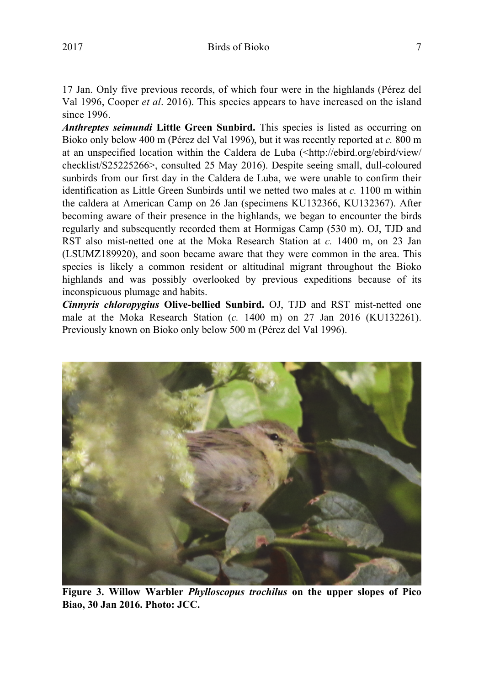17 Jan. Only five previous records, of which four were in the highlands (Pérez del Val 1996, Cooper *et al*. 2016). This species appears to have increased on the island since 1996.

*Anthreptes seimundi* **Little Green Sunbird.** This species is listed as occurring on Bioko only below 400 m (Pérez del Val 1996), but it was recently reported at *c.* 800 m at an unspecified location within the Caldera de Luba (<http://ebird.org/ebird/view/ checklist/S25225266>, consulted 25 May 2016). Despite seeing small, dull-coloured sunbirds from our first day in the Caldera de Luba, we were unable to confirm their identification as Little Green Sunbirds until we netted two males at *c.* 1100 m within the caldera at American Camp on 26 Jan (specimens KU132366, KU132367). After becoming aware of their presence in the highlands, we began to encounter the birds regularly and subsequently recorded them at Hormigas Camp (530 m). OJ, TJD and RST also mist-netted one at the Moka Research Station at *c.* 1400 m, on 23 Jan (LSUMZ189920), and soon became aware that they were common in the area. This species is likely a common resident or altitudinal migrant throughout the Bioko highlands and was possibly overlooked by previous expeditions because of its inconspicuous plumage and habits.

*Cinnyris chloropygius* **Olive-bellied Sunbird.** OJ, TJD and RST mist-netted one male at the Moka Research Station (*c.* 1400 m) on 27 Jan 2016 (KU132261). Previously known on Bioko only below 500 m (Pérez del Val 1996).



**Figure 3. Willow Warbler** *Phylloscopus trochilus* **on the upper slopes of Pico Biao, 30 Jan 2016. Photo: JCC.**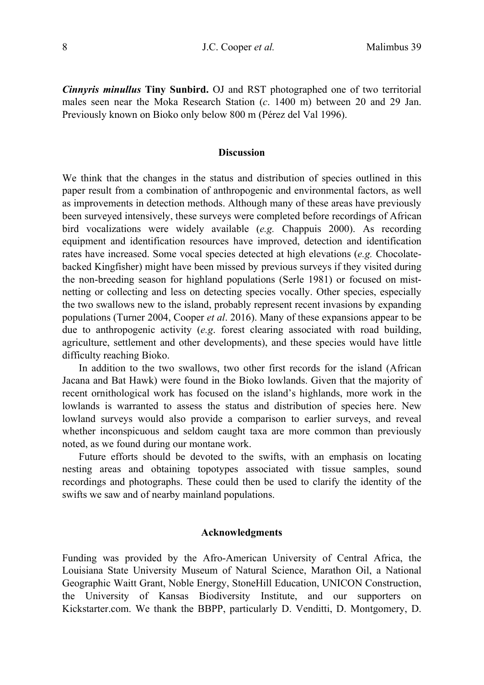*Cinnyris minullus* **Tiny Sunbird.** OJ and RST photographed one of two territorial males seen near the Moka Research Station (*c*. 1400 m) between 20 and 29 Jan. Previously known on Bioko only below 800 m (Pérez del Val 1996).

#### **Discussion**

We think that the changes in the status and distribution of species outlined in this paper result from a combination of anthropogenic and environmental factors, as well as improvements in detection methods. Although many of these areas have previously been surveyed intensively, these surveys were completed before recordings of African bird vocalizations were widely available (*e.g.* Chappuis 2000). As recording equipment and identification resources have improved, detection and identification rates have increased. Some vocal species detected at high elevations (*e.g.* Chocolatebacked Kingfisher) might have been missed by previous surveys if they visited during the non-breeding season for highland populations (Serle 1981) or focused on mistnetting or collecting and less on detecting species vocally. Other species, especially the two swallows new to the island, probably represent recent invasions by expanding populations (Turner 2004, Cooper *et al*. 2016). Many of these expansions appear to be due to anthropogenic activity (*e.g*. forest clearing associated with road building, agriculture, settlement and other developments), and these species would have little difficulty reaching Bioko.

 In addition to the two swallows, two other first records for the island (African Jacana and Bat Hawk) were found in the Bioko lowlands. Given that the majority of recent ornithological work has focused on the island's highlands, more work in the lowlands is warranted to assess the status and distribution of species here. New lowland surveys would also provide a comparison to earlier surveys, and reveal whether inconspicuous and seldom caught taxa are more common than previously noted, as we found during our montane work.

 Future efforts should be devoted to the swifts, with an emphasis on locating nesting areas and obtaining topotypes associated with tissue samples, sound recordings and photographs. These could then be used to clarify the identity of the swifts we saw and of nearby mainland populations.

## **Acknowledgments**

Funding was provided by the Afro-American University of Central Africa, the Louisiana State University Museum of Natural Science, Marathon Oil, a National Geographic Waitt Grant, Noble Energy, StoneHill Education, UNICON Construction, the University of Kansas Biodiversity Institute, and our supporters on Kickstarter.com. We thank the BBPP, particularly D. Venditti, D. Montgomery, D.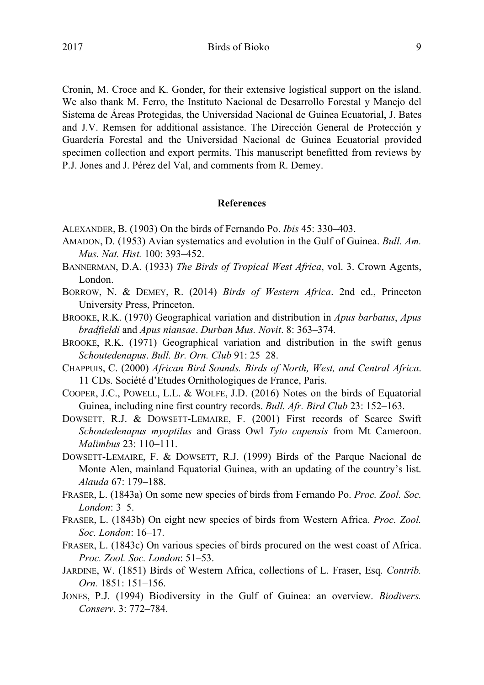2017 Birds of Bioko 9

Cronin, M. Croce and K. Gonder, for their extensive logistical support on the island. We also thank M. Ferro, the Instituto Nacional de Desarrollo Forestal y Manejo del Sistema de Áreas Protegidas, the Universidad Nacional de Guinea Ecuatorial, J. Bates and J.V. Remsen for additional assistance. The Dirección General de Protección y Guardería Forestal and the Universidad Nacional de Guinea Ecuatorial provided specimen collection and export permits. This manuscript benefitted from reviews by P.J. Jones and J. Pérez del Val, and comments from R. Demey.

### **References**

- ALEXANDER, B. (1903) On the birds of Fernando Po. *Ibis* 45: 330–403.
- AMADON, D. (1953) Avian systematics and evolution in the Gulf of Guinea. *Bull. Am. Mus. Nat. Hist.* 100: 393–452.
- BANNERMAN, D.A. (1933) *The Birds of Tropical West Africa*, vol. 3. Crown Agents, London.
- BORROW, N. & DEMEY, R. (2014) *Birds of Western Africa*. 2nd ed., Princeton University Press, Princeton.
- BROOKE, R.K. (1970) Geographical variation and distribution in *Apus barbatus*, *Apus bradfieldi* and *Apus niansae*. *Durban Mus. Novit*. 8: 363–374.
- BROOKE, R.K. (1971) Geographical variation and distribution in the swift genus *Schoutedenapus*. *Bull. Br. Orn. Club* 91: 25–28.
- CHAPPUIS, C. (2000) *African Bird Sounds. Birds of North, West, and Central Africa*. 11 CDs. Société d'Etudes Ornithologiques de France, Paris.
- COOPER, J.C., POWELL, L.L. & WOLFE, J.D. (2016) Notes on the birds of Equatorial Guinea, including nine first country records. *Bull. Afr. Bird Club* 23: 152–163.
- DOWSETT, R.J. & DOWSETT-LEMAIRE, F. (2001) First records of Scarce Swift *Schoutedenapus myoptilus* and Grass Owl *Tyto capensis* from Mt Cameroon. *Malimbus* 23: 110–111.
- DOWSETT-LEMAIRE, F. & DOWSETT, R.J. (1999) Birds of the Parque Nacional de Monte Alen, mainland Equatorial Guinea, with an updating of the country's list. *Alauda* 67: 179–188.
- FRASER, L. (1843a) On some new species of birds from Fernando Po. *Proc. Zool. Soc. London*: 3–5.
- FRASER, L. (1843b) On eight new species of birds from Western Africa. *Proc. Zool. Soc. London*: 16–17.
- FRASER, L. (1843c) On various species of birds procured on the west coast of Africa. *Proc. Zool. Soc. London*: 51–53.
- JARDINE, W. (1851) Birds of Western Africa, collections of L. Fraser, Esq. *Contrib. Orn.* 1851: 151–156.
- JONES, P.J. (1994) Biodiversity in the Gulf of Guinea: an overview. *Biodivers. Conserv*. 3: 772–784.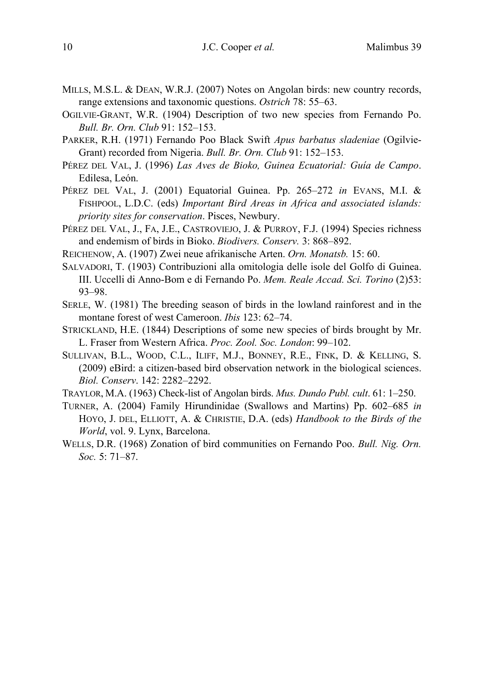- MILLS, M.S.L. & DEAN, W.R.J. (2007) Notes on Angolan birds: new country records, range extensions and taxonomic questions. *Ostrich* 78: 55–63.
- OGILVIE-GRANT, W.R. (1904) Description of two new species from Fernando Po. *Bull. Br. Orn. Club* 91: 152–153.
- PARKER, R.H. (1971) Fernando Poo Black Swift *Apus barbatus sladeniae* (Ogilvie-Grant) recorded from Nigeria. *Bull. Br. Orn. Club* 91: 152–153.
- PÉREZ DEL VAL, J. (1996) *Las Aves de Bioko, Guinea Ecuatorial: Guía de Campo*. Edilesa, León.
- PÉREZ DEL VAL, J. (2001) Equatorial Guinea. Pp. 265–272 *in* EVANS, M.I. & FISHPOOL, L.D.C. (eds) *Important Bird Areas in Africa and associated islands: priority sites for conservation*. Pisces, Newbury.
- PÉREZ DEL VAL, J., FA, J.E., CASTROVIEJO, J. & PURROY, F.J. (1994) Species richness and endemism of birds in Bioko. *Biodivers. Conserv.* 3: 868–892.
- REICHENOW, A. (1907) Zwei neue afrikanische Arten. *Orn. Monatsb.* 15: 60.
- SALVADORI, T. (1903) Contribuzioni alla omitologia delle isole del Golfo di Guinea. III. Uccelli di Anno-Bom e di Fernando Po. *Mem. Reale Accad. Sci. Torino* (2)53: 93–98.
- SERLE, W. (1981) The breeding season of birds in the lowland rainforest and in the montane forest of west Cameroon. *Ibis* 123: 62–74.
- STRICKLAND, H.E. (1844) Descriptions of some new species of birds brought by Mr. L. Fraser from Western Africa. *Proc. Zool. Soc. London*: 99–102.
- SULLIVAN, B.L., WOOD, C.L., ILIFF, M.J., BONNEY, R.E., FINK, D. & KELLING, S. (2009) eBird: a citizen-based bird observation network in the biological sciences. *Biol. Conserv*. 142: 2282–2292.
- TRAYLOR, M.A. (1963) Check-list of Angolan birds. *Mus. Dundo Publ. cult*. 61: 1–250.
- TURNER, A. (2004) Family Hirundinidae (Swallows and Martins) Pp. 602–685 *in*  HOYO, J. DEL, ELLIOTT, A. & CHRISTIE, D.A. (eds) *Handbook to the Birds of the World*, vol. 9. Lynx, Barcelona.
- WELLS, D.R. (1968) Zonation of bird communities on Fernando Poo. *Bull. Nig. Orn. Soc.* 5: 71–87.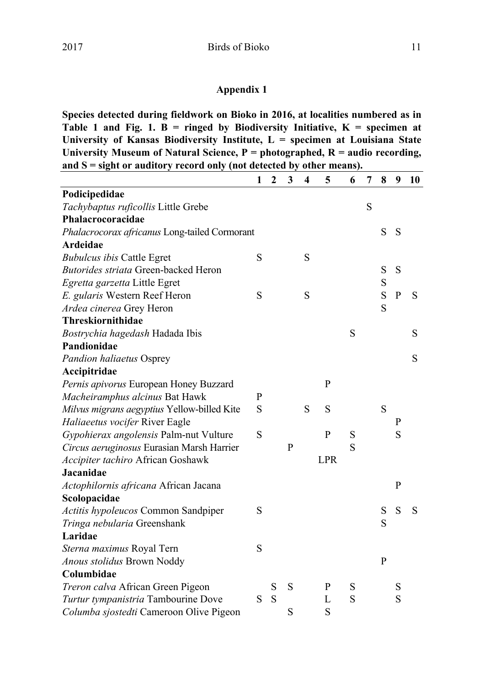# **Appendix 1**

**Species detected during fieldwork on Bioko in 2016, at localities numbered as in**  Table 1 and Fig. 1.  $\overline{B}$  = ringed by Biodiversity Initiative,  $K$  = specimen at **University of Kansas Biodiversity Institute, L = specimen at Louisiana State University Museum of Natural Science, P = photographed, R = audio recording, and S = sight or auditory record only (not detected by other means).**   $\mathbf{r}$ 

|                                               | 1 | $\mathbf{2}$ | 3 | 4 | 5            | 6 | 7 | 8 | 9 | 10 |
|-----------------------------------------------|---|--------------|---|---|--------------|---|---|---|---|----|
| Podicipedidae                                 |   |              |   |   |              |   |   |   |   |    |
| Tachybaptus ruficollis Little Grebe           |   |              |   |   |              |   | S |   |   |    |
| Phalacrocoracidae                             |   |              |   |   |              |   |   |   |   |    |
| Phalacrocorax africanus Long-tailed Cormorant |   |              |   |   |              |   |   | S | S |    |
| Ardeidae                                      |   |              |   |   |              |   |   |   |   |    |
| <b>Bubulcus ibis Cattle Egret</b>             | S |              |   | S |              |   |   |   |   |    |
| <b>Butorides striata Green-backed Heron</b>   |   |              |   |   |              |   |   | S | S |    |
| Egretta garzetta Little Egret                 |   |              |   |   |              |   |   | S |   |    |
| E. gularis Western Reef Heron                 | S |              |   | S |              |   |   | S | P | S  |
| Ardea cinerea Grey Heron                      |   |              |   |   |              |   |   | S |   |    |
| Threskiornithidae                             |   |              |   |   |              |   |   |   |   |    |
| Bostrychia hagedash Hadada Ibis               |   |              |   |   |              | S |   |   |   | S  |
| Pandionidae                                   |   |              |   |   |              |   |   |   |   |    |
| <b>Pandion haliaetus Osprey</b>               |   |              |   |   |              |   |   |   |   | S  |
| Accipitridae                                  |   |              |   |   |              |   |   |   |   |    |
| Pernis apivorus European Honey Buzzard        |   |              |   |   | P            |   |   |   |   |    |
| Macheiramphus alcinus Bat Hawk                | P |              |   |   |              |   |   |   |   |    |
| Milvus migrans aegyptius Yellow-billed Kite   | S |              |   | S | S            |   |   | S |   |    |
| Haliaeetus vocifer River Eagle                |   |              |   |   |              |   |   |   | P |    |
| Gypohierax angolensis Palm-nut Vulture        | S |              |   |   | $\mathbf{P}$ | S |   |   | S |    |
| Circus aeruginosus Eurasian Marsh Harrier     |   |              | P |   |              | S |   |   |   |    |
| Accipiter tachiro African Goshawk             |   |              |   |   | <b>LPR</b>   |   |   |   |   |    |
| Jacanidae                                     |   |              |   |   |              |   |   |   |   |    |
| Actophilornis africana African Jacana         |   |              |   |   |              |   |   |   | P |    |
| Scolopacidae                                  |   |              |   |   |              |   |   |   |   |    |
| Actitis hypoleucos Common Sandpiper           | S |              |   |   |              |   |   | S | S | S  |
| Tringa nebularia Greenshank                   |   |              |   |   |              |   |   | S |   |    |
| Laridae                                       |   |              |   |   |              |   |   |   |   |    |
| Sterna maximus Royal Tern                     | S |              |   |   |              |   |   |   |   |    |
| Anous stolidus Brown Noddy                    |   |              |   |   |              |   |   | P |   |    |
| Columbidae                                    |   |              |   |   |              |   |   |   |   |    |
| Treron calva African Green Pigeon             |   | S            | S |   | P            | S |   |   | S |    |
| Turtur tympanistria Tambourine Dove           | S | S            |   |   | L            | S |   |   | S |    |
| Columba sjostedti Cameroon Olive Pigeon       |   |              | S |   | S            |   |   |   |   |    |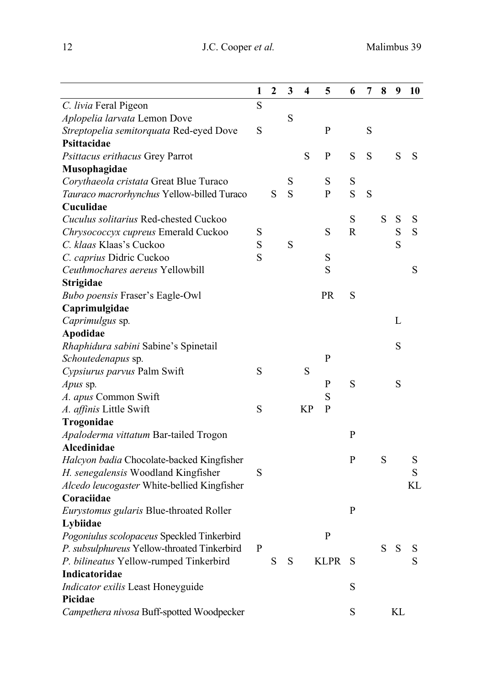|                                             | 1 | $\mathbf{2}$ | 3 | 4         | 5           | 6            | 7           | 8 | 9           | 10 |
|---------------------------------------------|---|--------------|---|-----------|-------------|--------------|-------------|---|-------------|----|
| C. livia Feral Pigeon                       | S |              |   |           |             |              |             |   |             |    |
| Aplopelia larvata Lemon Dove                |   |              | S |           |             |              |             |   |             |    |
| Streptopelia semitorquata Red-eyed Dove     | S |              |   |           | P           |              | $\mathbf S$ |   |             |    |
| Psittacidae                                 |   |              |   |           |             |              |             |   |             |    |
| Psittacus erithacus Grey Parrot             |   |              |   | S         | P           | S            | S           |   | ${\bf S}$   | S  |
| Musophagidae                                |   |              |   |           |             |              |             |   |             |    |
| Corythaeola cristata Great Blue Turaco      |   |              | S |           | S           | S            |             |   |             |    |
| Tauraco macrorhynchus Yellow-billed Turaco  |   | S            | S |           | P           | S            | $\mathbf S$ |   |             |    |
| Cuculidae                                   |   |              |   |           |             |              |             |   |             |    |
| Cuculus solitarius Red-chested Cuckoo       |   |              |   |           |             | S            |             | S | $\mathbf S$ | S  |
| Chrysococcyx cupreus Emerald Cuckoo         | S |              |   |           | S           | R            |             |   | $\rm S$     | S  |
| C. klaas Klaas's Cuckoo                     | S |              | S |           |             |              |             |   | S           |    |
| C. caprius Didric Cuckoo                    | S |              |   |           | S           |              |             |   |             |    |
| Ceuthmochares aereus Yellowbill             |   |              |   |           | S           |              |             |   |             | S  |
| Strigidae                                   |   |              |   |           |             |              |             |   |             |    |
| Bubo poensis Fraser's Eagle-Owl             |   |              |   |           | PR          | S            |             |   |             |    |
| Caprimulgidae                               |   |              |   |           |             |              |             |   |             |    |
| Caprimulgus sp.                             |   |              |   |           |             |              |             |   | L           |    |
| Apodidae                                    |   |              |   |           |             |              |             |   |             |    |
| Rhaphidura sabini Sabine's Spinetail        |   |              |   |           |             |              |             |   | ${\bf S}$   |    |
| Schoutedenapus sp.                          |   |              |   |           | P           |              |             |   |             |    |
| Cypsiurus parvus Palm Swift                 | S |              |   | S         |             |              |             |   |             |    |
| Apus sp.                                    |   |              |   |           | P           | S            |             |   | S           |    |
| A. apus Common Swift                        |   |              |   |           | S           |              |             |   |             |    |
| A. affinis Little Swift                     | S |              |   | <b>KP</b> | P           |              |             |   |             |    |
| Trogonidae                                  |   |              |   |           |             |              |             |   |             |    |
| Apaloderma vittatum Bar-tailed Trogon       |   |              |   |           |             | P            |             |   |             |    |
| Alcedinidae                                 |   |              |   |           |             |              |             |   |             |    |
| Halcyon badia Chocolate-backed Kingfisher   |   |              |   |           |             | P            |             | S |             | S  |
| H. senegalensis Woodland Kingfisher         | S |              |   |           |             |              |             |   |             | S  |
| Alcedo leucogaster White-bellied Kingfisher |   |              |   |           |             |              |             |   |             | KL |
| Coraciidae                                  |   |              |   |           |             |              |             |   |             |    |
| Eurystomus gularis Blue-throated Roller     |   |              |   |           |             | $\mathbf{P}$ |             |   |             |    |
| Lybiidae                                    |   |              |   |           |             |              |             |   |             |    |
| Pogoniulus scolopaceus Speckled Tinkerbird  |   |              |   |           | P           |              |             |   |             |    |
| P. subsulphureus Yellow-throated Tinkerbird | P |              |   |           |             |              |             | S | ${\bf S}$   | S  |
| P. bilineatus Yellow-rumped Tinkerbird      |   | S            | S |           | <b>KLPR</b> | S            |             |   |             | S  |
| Indicatoridae                               |   |              |   |           |             |              |             |   |             |    |
| Indicator exilis Least Honeyguide           |   |              |   |           |             | S            |             |   |             |    |
| Picidae                                     |   |              |   |           |             |              |             |   |             |    |
| Campethera nivosa Buff-spotted Woodpecker   |   |              |   |           |             | S            |             |   | KL          |    |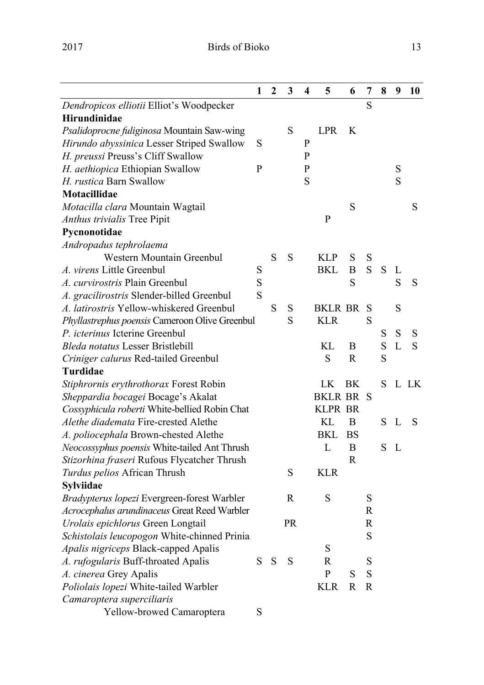|                                                | $\mathbf{2}$ | 3         | 4 | 5              | 6         | 7           | 8           | 9         | 10   |
|------------------------------------------------|--------------|-----------|---|----------------|-----------|-------------|-------------|-----------|------|
| Dendropicos elliotii Elliot's Woodpecker       |              |           |   |                |           | S           |             |           |      |
| Hirundinidae                                   |              |           |   |                |           |             |             |           |      |
| Psalidoprocne fuliginosa Mountain Saw-wing     |              | S         |   | <b>LPR</b>     | K         |             |             |           |      |
| Hirundo abyssinica Lesser Striped Swallow<br>S |              |           | P |                |           |             |             |           |      |
| H. preussi Preuss's Cliff Swallow              |              |           | P |                |           |             |             |           |      |
| H. aethiopica Ethiopian Swallow<br>P           |              |           | P |                |           |             |             | S         |      |
| H. rustica Barn Swallow                        |              |           | S |                |           |             |             | S         |      |
| Motacillidae                                   |              |           |   |                |           |             |             |           |      |
| Motacilla clara Mountain Wagtail               |              |           |   |                | S         |             |             |           | S    |
| Anthus trivialis Tree Pipit                    |              |           |   | P              |           |             |             |           |      |
| Pycnonotidae                                   |              |           |   |                |           |             |             |           |      |
| Andropadus tephrolaema                         |              |           |   |                |           |             |             |           |      |
| Western Mountain Greenbul                      | S            | S         |   | <b>KLP</b>     | S         | S           |             |           |      |
| A. virens Little Greenbul<br>S                 |              |           |   | BKL            | В         | S           | $\mathbf S$ | L         |      |
| S<br><i>A. curvirostris</i> Plain Greenbul     |              |           |   |                | S         |             |             | S         | S    |
| S<br>A. gracilirostris Slender-billed Greenbul |              |           |   |                |           |             |             |           |      |
| A. latirostris Yellow-whiskered Greenbul       | S            | S         |   | BKLR BR        |           | S           |             | S         |      |
| Phyllastrephus poensis Cameroon Olive Greenbul |              | S         |   | KLR            |           | S           |             |           |      |
| P. icterinus Icterine Greenbul                 |              |           |   |                |           |             | ${\bf S}$   | ${\bf S}$ | S    |
| Bleda notatus Lesser Bristlebill               |              |           |   | KL             | B         |             | ${\bf S}$   | L         | S    |
| Criniger calurus Red-tailed Greenbul           |              |           |   | S              | R         |             | S           |           |      |
| Turdidae                                       |              |           |   |                |           |             |             |           |      |
| Stiphrornis erythrothorax Forest Robin         |              |           |   | LK             | BK        |             | S           |           | L LK |
| Sheppardia bocagei Bocage's Akalat             |              |           |   | BKLR BR        |           | S           |             |           |      |
| Cossyphicula roberti White-bellied Robin Chat  |              |           |   | <b>KLPR BR</b> |           |             |             |           |      |
| <i>Alethe diademata</i> Fire-crested Alethe    |              |           |   | KL.            | B         |             | S           | L         | S    |
| A. poliocephala Brown-chested Alethe           |              |           |   | BKL            | <b>BS</b> |             |             |           |      |
| Neocossyphus poensis White-tailed Ant Thrush   |              |           |   | L              | B         |             | S           | L         |      |
| Stizorhina fraseri Rufous Flycatcher Thrush    |              |           |   |                | R         |             |             |           |      |
| Turdus pelios African Thrush                   |              | S         |   | <b>KLR</b>     |           |             |             |           |      |
| Sylviidae                                      |              |           |   |                |           |             |             |           |      |
| Bradypterus lopezi Evergreen-forest Warbler    |              | R         |   | S              |           | $\mathbf S$ |             |           |      |
| Acrocephalus arundinaceus Great Reed Warbler   |              |           |   |                |           | R           |             |           |      |
| Urolais epichlorus Green Longtail              |              | <b>PR</b> |   |                |           | R           |             |           |      |
| Schistolais leucopogon White-chinned Prinia    |              |           |   |                |           | S           |             |           |      |
| Apalis nigriceps Black-capped Apalis           |              |           |   | S              |           |             |             |           |      |
| S<br>A. rufogularis Buff-throated Apalis       | S            | S         |   | R              |           | S           |             |           |      |
| A. cinerea Grey Apalis                         |              |           |   | P              | S         | $\mathbf S$ |             |           |      |
| Poliolais lopezi White-tailed Warbler          |              |           |   | <b>KLR</b>     | R         | R           |             |           |      |
| Camaroptera superciliaris                      |              |           |   |                |           |             |             |           |      |
| S<br>Yellow-browed Camaroptera                 |              |           |   |                |           |             |             |           |      |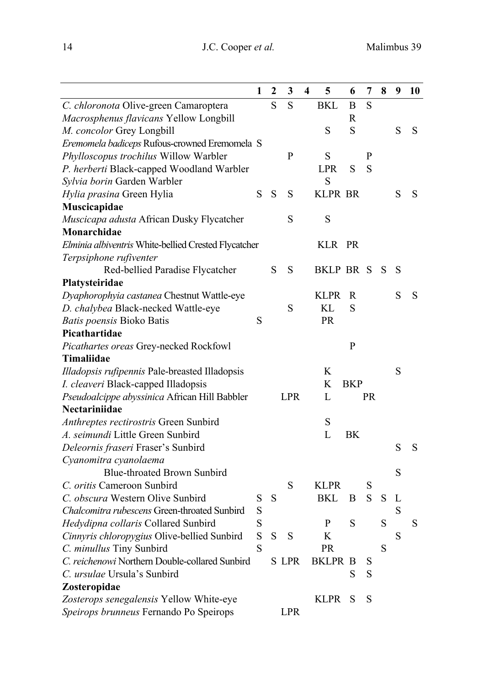|                                                      | 1 | $\boldsymbol{2}$ | 3          | 4 | 5              | 6          | 7   | 8 | 9         | 10 |
|------------------------------------------------------|---|------------------|------------|---|----------------|------------|-----|---|-----------|----|
| C. chloronota Olive-green Camaroptera                |   | S                | S          |   | <b>BKL</b>     | B          | S   |   |           |    |
| Macrosphenus flavicans Yellow Longbill               |   |                  |            |   |                | R          |     |   |           |    |
| M. concolor Grey Longbill                            |   |                  |            |   | S              | S          |     |   | ${\bf S}$ | S  |
| Eremomela badiceps Rufous-crowned Eremomela S        |   |                  |            |   |                |            |     |   |           |    |
| Phylloscopus trochilus Willow Warbler                |   |                  | P          |   | S              |            | P   |   |           |    |
| P. herberti Black-capped Woodland Warbler            |   |                  |            |   | LPR.           | S          | S   |   |           |    |
| Sylvia borin Garden Warbler                          |   |                  |            |   | S              |            |     |   |           |    |
| Hylia prasina Green Hylia                            | S | S                | S          |   | <b>KLPR BR</b> |            |     |   | S         | S  |
| Muscicapidae                                         |   |                  |            |   |                |            |     |   |           |    |
| Muscicapa adusta African Dusky Flycatcher            |   |                  | S          |   | S              |            |     |   |           |    |
| Monarchidae                                          |   |                  |            |   |                |            |     |   |           |    |
| Elminia albiventris White-bellied Crested Flycatcher |   |                  |            |   | KLR            | PR         |     |   |           |    |
| Terpsiphone rufiventer                               |   |                  |            |   |                |            |     |   |           |    |
| Red-bellied Paradise Flycatcher                      |   | S                | S          |   | BKLP BR S      |            |     | S | S         |    |
| Platysteiridae                                       |   |                  |            |   |                |            |     |   |           |    |
| Dyaphorophyia castanea Chestnut Wattle-eye           |   |                  |            |   | <b>KLPR</b>    | R          |     |   | S         | S  |
| D. chalybea Black-necked Wattle-eye                  |   |                  | S          |   | KL.            | S          |     |   |           |    |
| Batis poensis Bioko Batis                            | S |                  |            |   | <b>PR</b>      |            |     |   |           |    |
| Picathartidae                                        |   |                  |            |   |                |            |     |   |           |    |
| Picathartes oreas Grey-necked Rockfowl               |   |                  |            |   |                | P          |     |   |           |    |
| Timaliidae                                           |   |                  |            |   |                |            |     |   |           |    |
| Illadopsis rufipennis Pale-breasted Illadopsis       |   |                  |            |   | K              |            |     |   | S         |    |
| I. cleaveri Black-capped Illadopsis                  |   |                  |            |   | K              | <b>BKP</b> |     |   |           |    |
| Pseudoalcippe abyssinica African Hill Babbler        |   |                  | <b>LPR</b> |   | L              |            | PR. |   |           |    |
| Nectariniidae                                        |   |                  |            |   |                |            |     |   |           |    |
| Anthreptes rectirostris Green Sunbird                |   |                  |            |   | S              |            |     |   |           |    |
| A. seimundi Little Green Sunbird                     |   |                  |            |   | L              | BK         |     |   |           |    |
| Deleornis fraseri Fraser's Sunbird                   |   |                  |            |   |                |            |     |   | S         | S  |
| Cyanomitra cyanolaema                                |   |                  |            |   |                |            |     |   |           |    |
| Blue-throated Brown Sunbird                          |   |                  |            |   |                |            |     |   | S         |    |
| C. oritis Cameroon Sunbird                           |   |                  | S          |   | <b>KLPR</b>    |            | S   |   |           |    |
| C. obscura Western Olive Sunbird                     | S | S                |            |   | BKL            | B          | S   | S | L         |    |
| Chalcomitra rubescens Green-throated Sunbird         | S |                  |            |   |                |            |     |   | S         |    |
| Hedydipna collaris Collared Sunbird                  | S |                  |            |   | P              | S          |     | S |           | S  |
| Cinnyris chloropygius Olive-bellied Sunbird          | S | ${\bf S}$        | S          |   | K              |            |     |   | S         |    |
| C. minullus Tiny Sunbird                             | S |                  |            |   | <b>PR</b>      |            |     | S |           |    |
| C. reichenowi Northern Double-collared Sunbird       |   |                  | S LPR      |   | BKLPR B        |            | S   |   |           |    |
| C. ursulae Ursula's Sunbird                          |   |                  |            |   |                | S          | S   |   |           |    |
| Zosteropidae                                         |   |                  |            |   |                |            |     |   |           |    |
| Zosterops senegalensis Yellow White-eye              |   |                  |            |   | <b>KLPR</b>    | S          | S   |   |           |    |
| Speirops brunneus Fernando Po Speirops               |   |                  | LPR        |   |                |            |     |   |           |    |